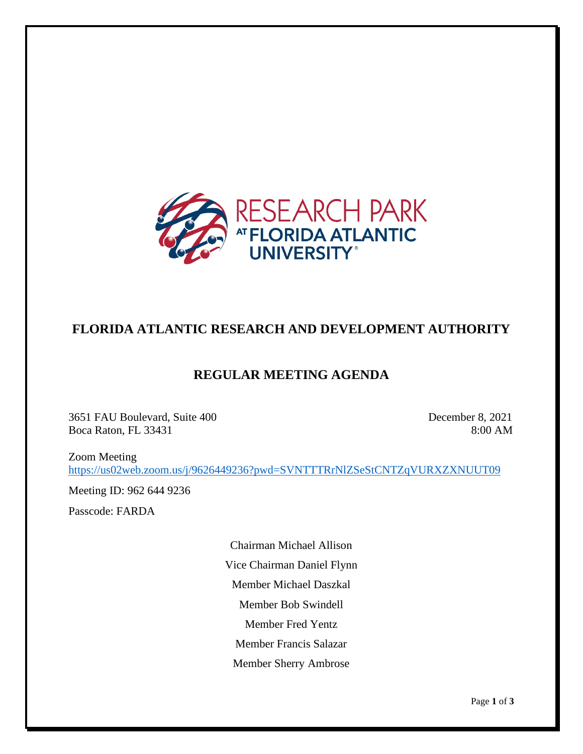

## **FLORIDA ATLANTIC RESEARCH AND DEVELOPMENT AUTHORITY**

## **REGULAR MEETING AGENDA**

3651 FAU Boulevard, Suite 400 December 8, 2021 Boca Raton, FL 33431 8:00 AM

Zoom Meeting <https://us02web.zoom.us/j/9626449236?pwd=SVNTTTRrNlZSeStCNTZqVURXZXNUUT09>

Meeting ID: 962 644 9236

Passcode: FARDA

Chairman Michael Allison Vice Chairman Daniel Flynn Member Michael Daszkal Member Bob Swindell Member Fred Yentz Member Francis Salazar Member Sherry Ambrose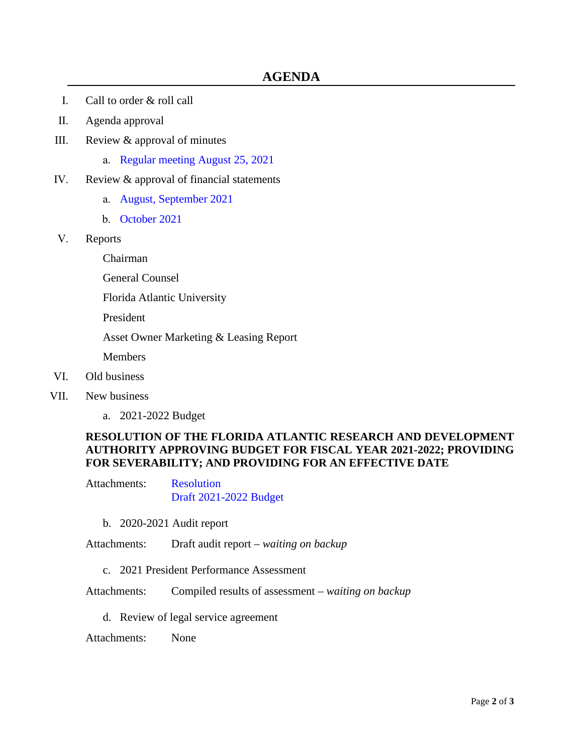- I. Call to order & roll call
- II. Agenda approval
- III. Review & approval of minutes
	- a. Regular meeting [August 25, 2021](https://www.research-park.org/files/060b06886/3a+-+DRAFT+Authority+Meeting+Minutes.pdf)
- IV. Review & approval of financial statements
	- a. [August, September 2021](https://www.research-park.org/files/533a44db3/4a+-+2021-10-13+September+Financials+Memo.pdf)
	- b. [October](https://www.research-park.org/files/79b1c01d3/4b+-+2021-11-09+October+Financials+Memo.pdf) 2021
- V. Reports

Chairman

General Counsel

Florida Atlantic University

President

Asset Owner Marketing & Leasing Report

Members

- VI. Old business
- VII. New business
	- a. 2021-2022 Budget

## **RESOLUTION OF THE FLORIDA ATLANTIC RESEARCH AND DEVELOPMENT AUTHORITY APPROVING BUDGET FOR FISCAL YEAR 2021-2022; PROVIDING FOR SEVERABILITY; AND PROVIDING FOR AN EFFECTIVE DATE**

Attachments: [Resolution](https://www.research-park.org/files/747c58eac/7a+-+Budget+Reso.pdf) [Draft 2021-2022 Budget](https://www.research-park.org/files/8fc8016aa/7a+-+FY21-22+Draft+Budget.pdf)

b. 2020-2021 Audit report

Attachments: Draft audit report – *waiting on backup*

- c. 2021 President Performance Assessment
- Attachments: Compiled results of assessment  *waiting on backup*
	- d. Review of legal service agreement

Attachments: None